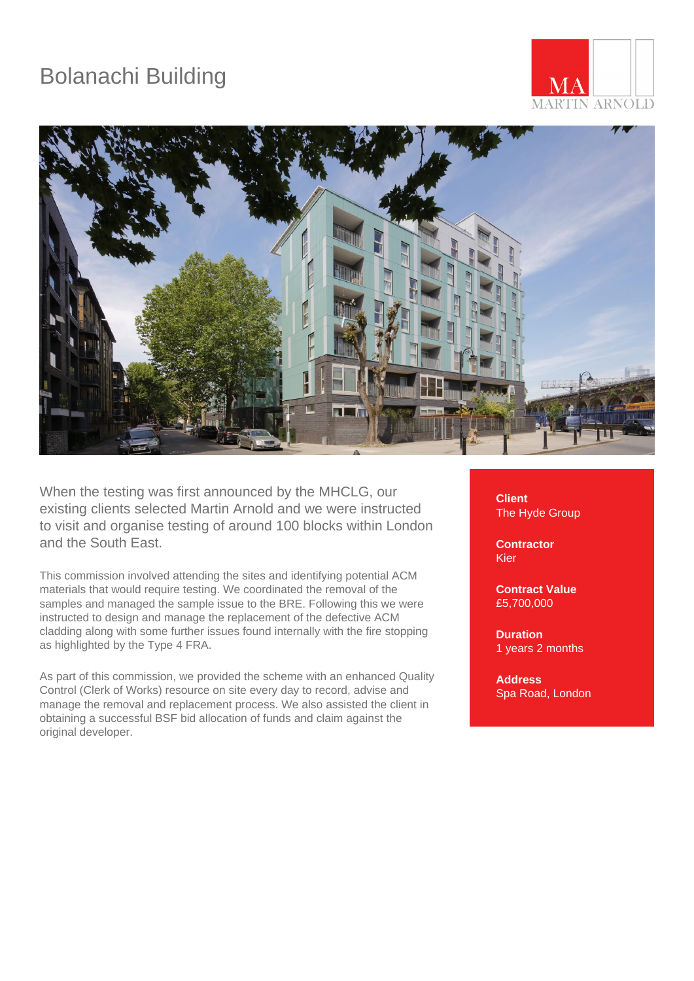## Bolanachi Building





When the testing was first announced by the MHCLG, our existing clients selected Martin Arnold and we were instructed to visit and organise testing of around 100 blocks within London and the South East.

This commission involved attending the sites and identifying potential ACM materials that would require testing. We coordinated the removal of the samples and managed the sample issue to the BRE. Following this we were instructed to design and manage the replacement of the defective ACM cladding along with some further issues found internally with the fire stopping as highlighted by the Type 4 FRA.

As part of this commission, we provided the scheme with an enhanced Quality Control (Clerk of Works) resource on site every day to record, advise and manage the removal and replacement process. We also assisted the client in obtaining a successful BSF bid allocation of funds and claim against the original developer.

**Client** The Hyde Group

**Contractor** Kier

**Contract Value** £5,700,000

**Duration** 1 years 2 months

**Address** Spa Road, London